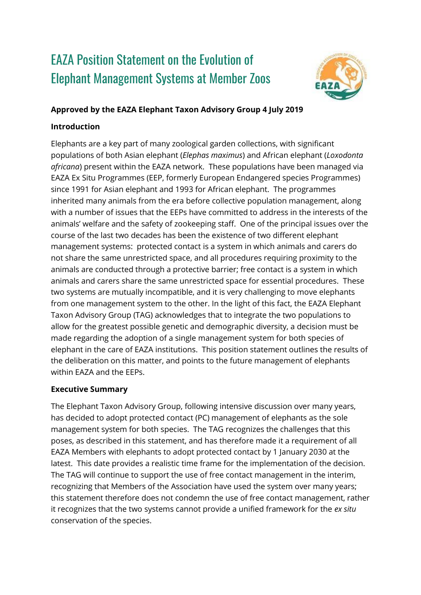# EAZA Position Statement on the Evolution of Elephant Management Systems at Member Zoos



#### **Approved by the EAZA Elephant Taxon Advisory Group 4 July 2019**

## **Introduction**

Elephants are a key part of many zoological garden collections, with significant populations of both Asian elephant (*Elephas maximus*) and African elephant (*Loxodonta africana*) present within the EAZA network. These populations have been managed via EAZA Ex Situ Programmes (EEP, formerly European Endangered species Programmes) since 1991 for Asian elephant and 1993 for African elephant. The programmes inherited many animals from the era before collective population management, along with a number of issues that the EEPs have committed to address in the interests of the animals' welfare and the safety of zookeeping staff. One of the principal issues over the course of the last two decades has been the existence of two different elephant management systems: protected contact is a system in which animals and carers do not share the same unrestricted space, and all procedures requiring proximity to the animals are conducted through a protective barrier; free contact is a system in which animals and carers share the same unrestricted space for essential procedures. These two systems are mutually incompatible, and it is very challenging to move elephants from one management system to the other. In the light of this fact, the EAZA Elephant Taxon Advisory Group (TAG) acknowledges that to integrate the two populations to allow for the greatest possible genetic and demographic diversity, a decision must be made regarding the adoption of a single management system for both species of elephant in the care of EAZA institutions. This position statement outlines the results of the deliberation on this matter, and points to the future management of elephants within EAZA and the EEPs.

## **Executive Summary**

The Elephant Taxon Advisory Group, following intensive discussion over many years, has decided to adopt protected contact (PC) management of elephants as the sole management system for both species. The TAG recognizes the challenges that this poses, as described in this statement, and has therefore made it a requirement of all EAZA Members with elephants to adopt protected contact by 1 January 2030 at the latest. This date provides a realistic time frame for the implementation of the decision. The TAG will continue to support the use of free contact management in the interim, recognizing that Members of the Association have used the system over many years; this statement therefore does not condemn the use of free contact management, rather it recognizes that the two systems cannot provide a unified framework for the *ex situ*  conservation of the species.